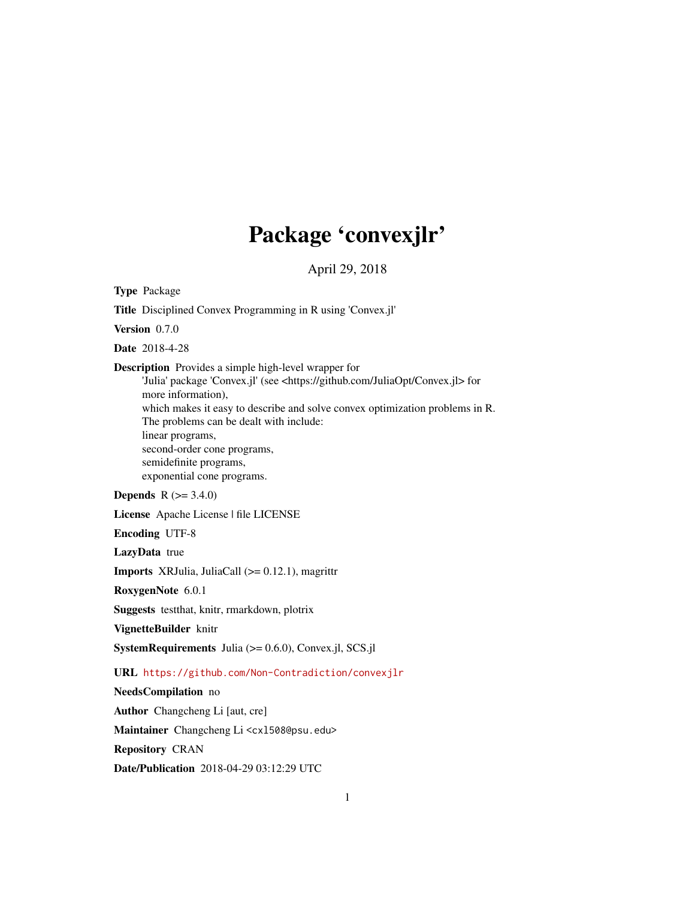# Package 'convexjlr'

April 29, 2018

Type Package

Title Disciplined Convex Programming in R using 'Convex.jl'

Version 0.7.0

Date 2018-4-28

Description Provides a simple high-level wrapper for

'Julia' package 'Convex.jl' (see <https://github.com/JuliaOpt/Convex.jl> for more information),

which makes it easy to describe and solve convex optimization problems in R. The problems can be dealt with include: linear programs,

second-order cone programs, semidefinite programs, exponential cone programs.

#### **Depends** R  $(>= 3.4.0)$

License Apache License | file LICENSE

Encoding UTF-8

LazyData true

Imports XRJulia, JuliaCall (>= 0.12.1), magrittr

RoxygenNote 6.0.1

Suggests testthat, knitr, rmarkdown, plotrix

VignetteBuilder knitr

SystemRequirements Julia (>= 0.6.0), Convex.jl, SCS.jl

#### URL <https://github.com/Non-Contradiction/convexjlr>

NeedsCompilation no

Author Changcheng Li [aut, cre]

Maintainer Changcheng Li <cx1508@psu.edu>

Repository CRAN

Date/Publication 2018-04-29 03:12:29 UTC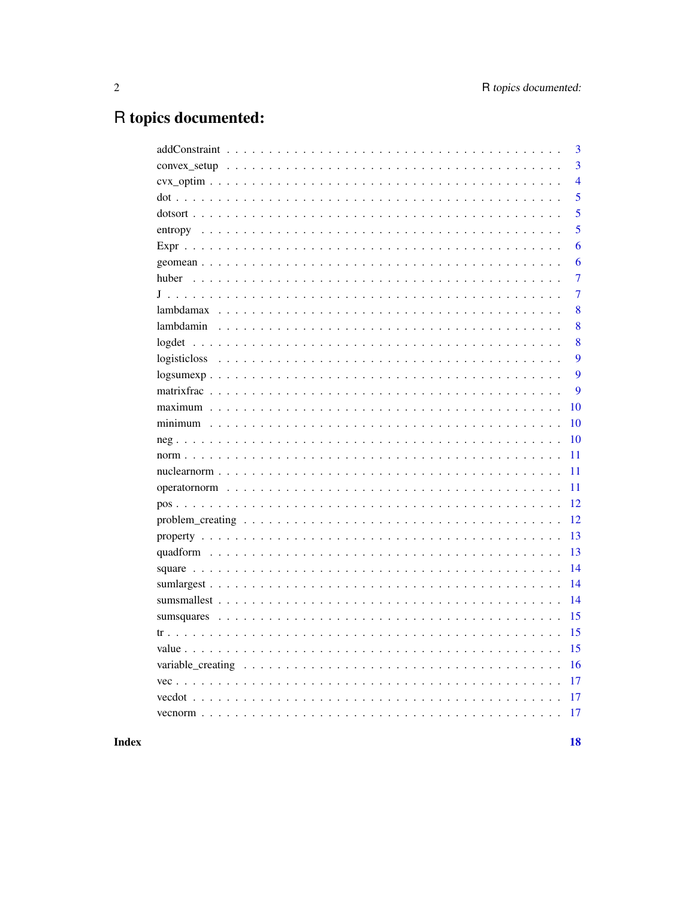## R topics documented:

| 3                |
|------------------|
| $\overline{3}$   |
| $\overline{4}$   |
| 5                |
| 5                |
| 5                |
| 6                |
| 6                |
| 7                |
| 7                |
| 8                |
| 8                |
| 8                |
| 9                |
| 9                |
| $\boldsymbol{Q}$ |
| 10               |
| 10               |
| 10               |
| 11               |
| 11               |
| 11               |
| 12               |
| 12               |
| 13               |
| 13               |
| 14               |
| 14               |
| 14               |
| 15               |
| 15               |
| 15               |
| 16               |
| 17               |
| 17               |
| 17               |
|                  |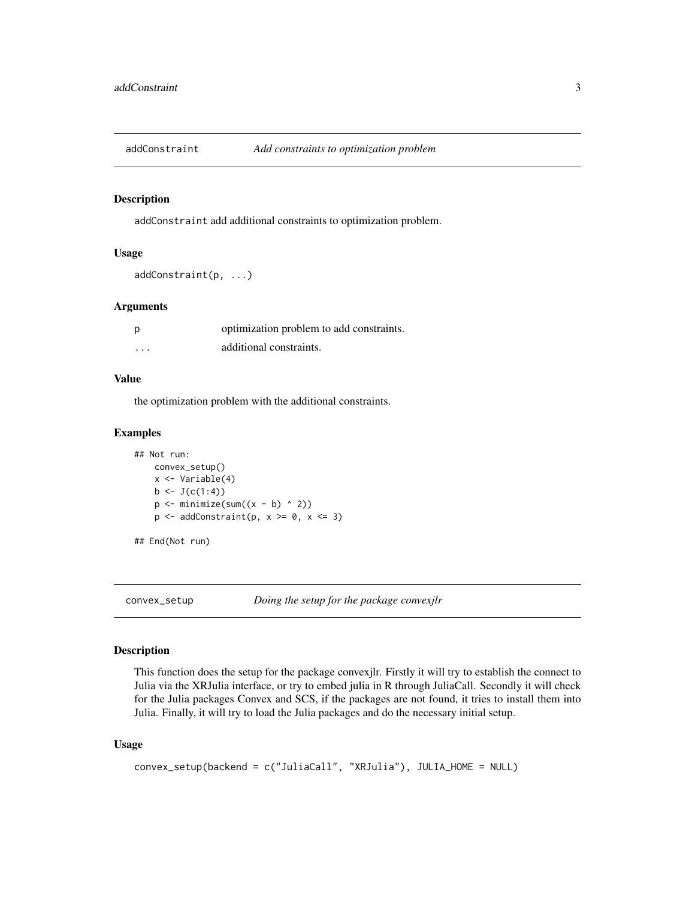<span id="page-2-0"></span>

addConstraint add additional constraints to optimization problem.

#### Usage

```
addConstraint(p, ...)
```
#### Arguments

| p        | optimization problem to add constraints. |
|----------|------------------------------------------|
| $\cdots$ | additional constraints.                  |

#### Value

the optimization problem with the additional constraints.

#### Examples

```
## Not run:
    convex_setup()
     x <- Variable(4)
    b \leftarrow J(c(1:4))p \leftarrow \text{minimize}(\text{sum}((x - b) \land 2))p \leftarrow addConstant(p, x \ge 0, x \le 3)
```

```
## End(Not run)
```
convex\_setup *Doing the setup for the package convexjlr*

#### Description

This function does the setup for the package convexjlr. Firstly it will try to establish the connect to Julia via the XRJulia interface, or try to embed julia in R through JuliaCall. Secondly it will check for the Julia packages Convex and SCS, if the packages are not found, it tries to install them into Julia. Finally, it will try to load the Julia packages and do the necessary initial setup.

#### Usage

```
convex_setup(backend = c("JuliaCall", "XRJulia"), JULIA_HOME = NULL)
```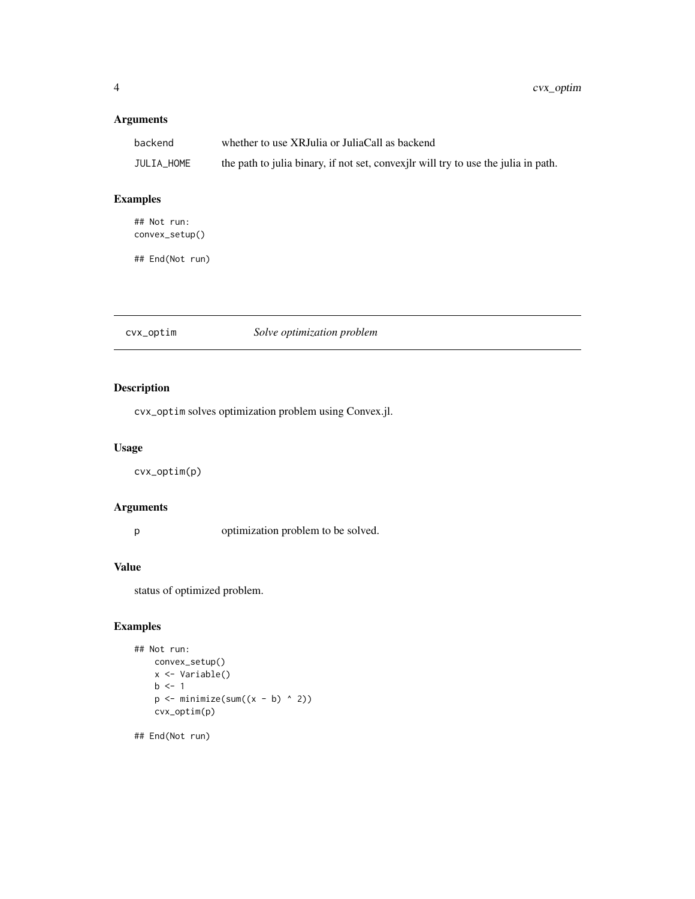#### <span id="page-3-0"></span>Arguments

| backend    | whether to use XRJulia or JuliaCall as backend                                      |
|------------|-------------------------------------------------------------------------------------|
| JULIA HOME | the path to julia binary, if not set, convex ilr will try to use the julia in path. |

#### Examples

## Not run: convex\_setup()

## End(Not run)

cvx\_optim *Solve optimization problem*

#### Description

cvx\_optim solves optimization problem using Convex.jl.

#### Usage

cvx\_optim(p)

#### Arguments

p optimization problem to be solved.

#### Value

status of optimized problem.

#### Examples

```
## Not run:
     convex_setup()
     x <- Variable()
     b \leq -1p \leftarrow \text{minimize}(\text{sum}((x - b) \land 2))cvx_optim(p)
```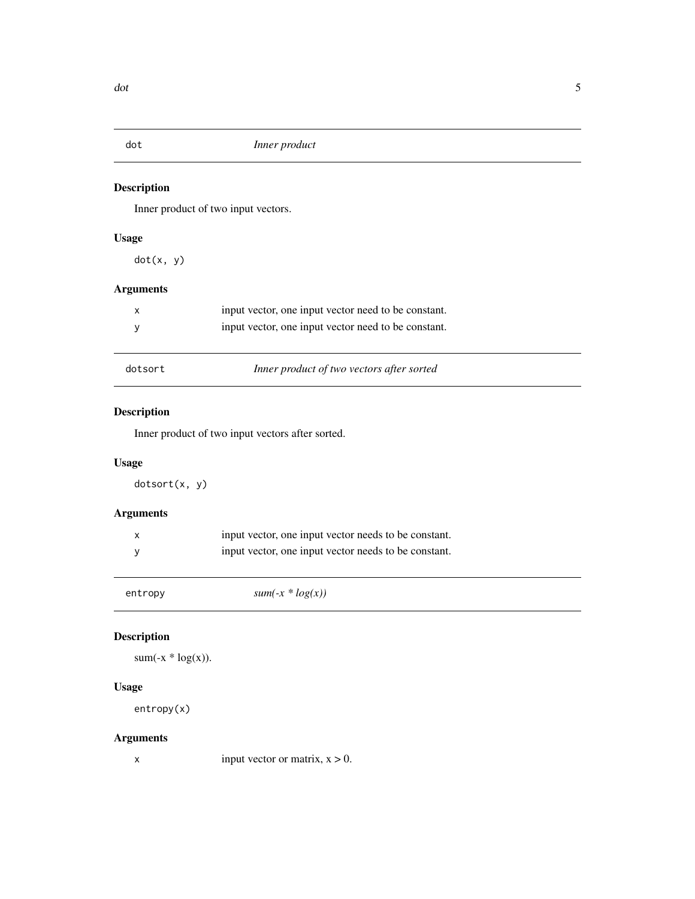<span id="page-4-0"></span>

Inner product of two input vectors.

#### Usage

 $\overline{a}$ 

dot(x, y)

#### Arguments

| x       | input vector, one input vector need to be constant. |
|---------|-----------------------------------------------------|
|         | input vector, one input vector need to be constant. |
|         |                                                     |
| dotsort | Inner product of two vectors after sorted           |

#### Description

Inner product of two input vectors after sorted.

#### Usage

dotsort(x, y)

#### Arguments

| input vector, one input vector needs to be constant. |
|------------------------------------------------------|
| input vector, one input vector needs to be constant. |
|                                                      |

| entropy | $sum(-x * log(x))$ |  |
|---------|--------------------|--|
|---------|--------------------|--|

#### Description

```
sum(-x * log(x)).
```
#### Usage

entropy(x)

#### Arguments

x input vector or matrix,  $x > 0$ .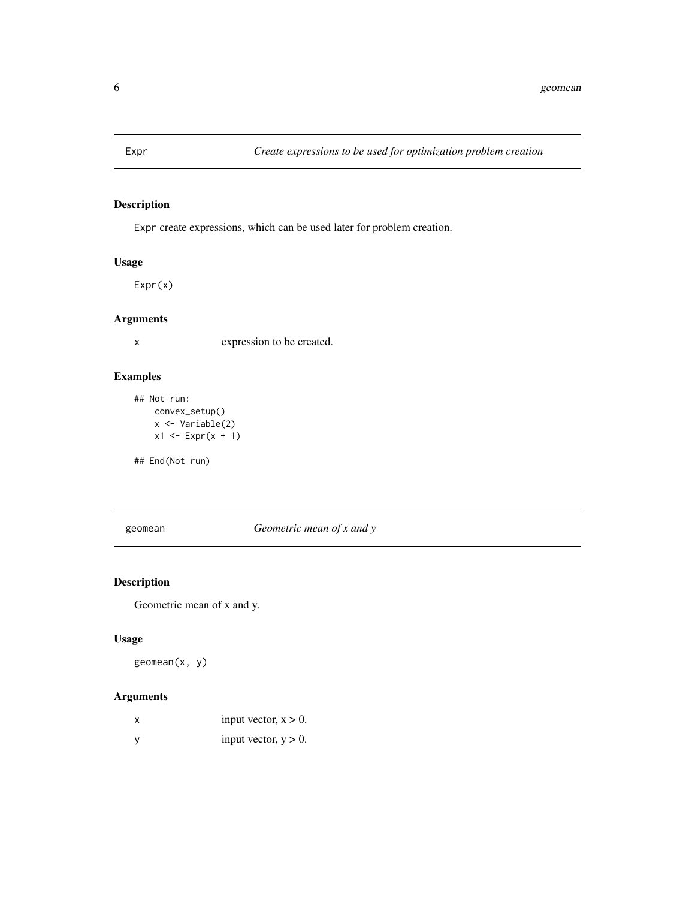<span id="page-5-0"></span>

Expr create expressions, which can be used later for problem creation.

#### Usage

Expr(x)

#### Arguments

x expression to be created.

#### Examples

```
## Not run:
    convex_setup()
    x <- Variable(2)
    x1 \leftarrow \text{Expr}(x + 1)
```
## End(Not run)

geomean *Geometric mean of x and y*

#### Description

Geometric mean of x and y.

#### Usage

geomean(x, y)

| x | input vector, $x > 0$ . |
|---|-------------------------|
|   | input vector, $y > 0$ . |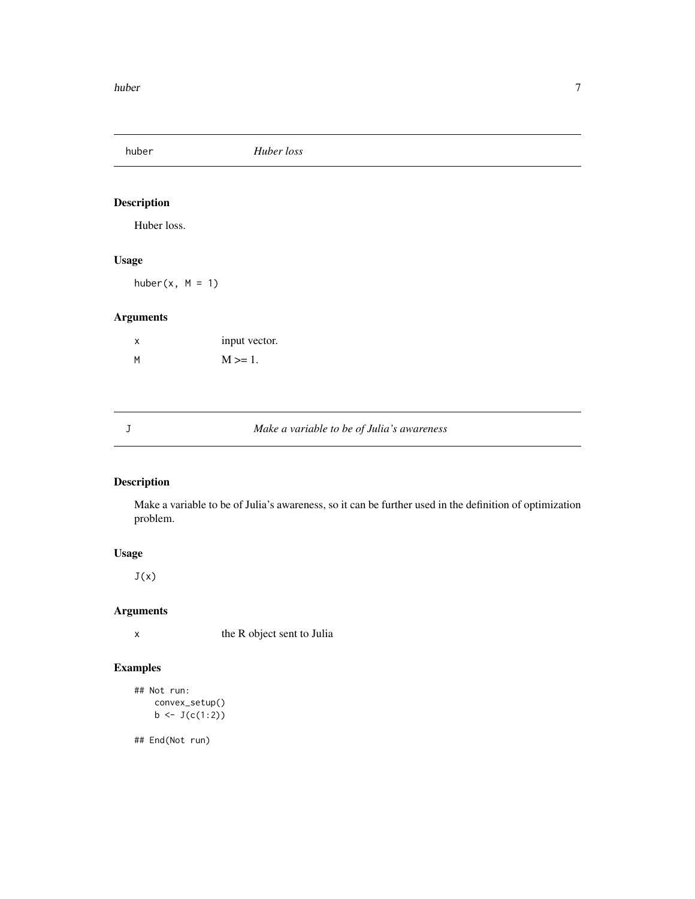<span id="page-6-0"></span>huber *Huber loss*

#### Description

Huber loss.

#### Usage

huber $(x, M = 1)$ 

#### Arguments

| X | input vector. |
|---|---------------|
| M | $M \ge 1$ .   |

#### J *Make a variable to be of Julia's awareness*

#### Description

Make a variable to be of Julia's awareness, so it can be further used in the definition of optimization problem.

#### Usage

 $J(x)$ 

#### Arguments

x the R object sent to Julia

#### Examples

```
## Not run:
    convex_setup()
    b \leftarrow J(c(1:2))
```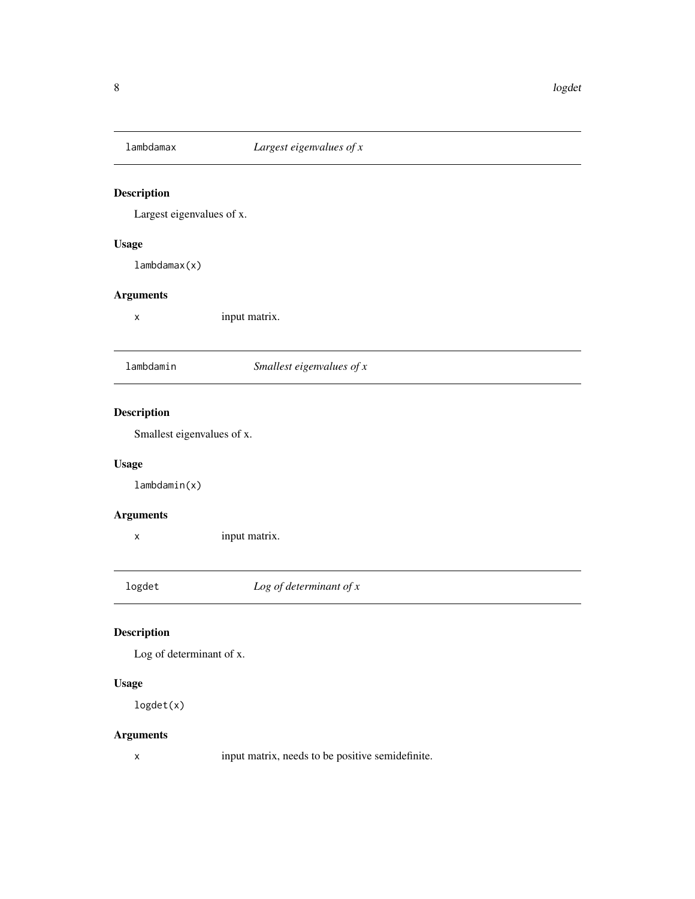<span id="page-7-0"></span>

Largest eigenvalues of x.

#### Usage

lambdamax(x)

#### Arguments

x input matrix.

lambdamin *Smallest eigenvalues of x*

#### Description

Smallest eigenvalues of x.

#### Usage

lambdamin(x)

#### Arguments

x input matrix.

logdet *Log of determinant of x*

#### Description

Log of determinant of x.

#### Usage

logdet(x)

#### Arguments

x input matrix, needs to be positive semidefinite.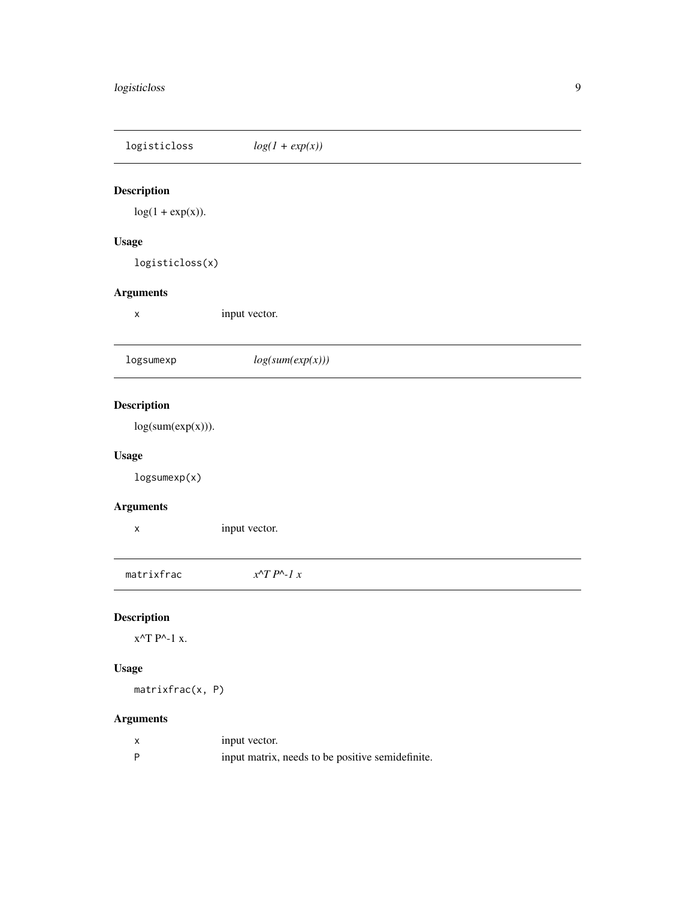<span id="page-8-0"></span>

| logisticloss                   | $log(1 + exp(x))$      |
|--------------------------------|------------------------|
| Description                    |                        |
| $log(1 + exp(x)).$             |                        |
| <b>Usage</b>                   |                        |
| logisticloss(x)                |                        |
| <b>Arguments</b>               |                        |
| X                              | input vector.          |
| logsumexp                      | log(sum(exp(x)))       |
| Description                    |                        |
| log(sum(exp(x))).              |                        |
| <b>Usage</b>                   |                        |
| logsumexp(x)                   |                        |
| <b>Arguments</b>               |                        |
| Χ                              | input vector.          |
| matrixfrac                     | $x^T P^{\wedge} - l x$ |
| Description                    |                        |
| $x^{\wedge}T P^{\wedge}$ -1 x. |                        |
| <b>Usage</b>                   |                        |
| matrixfrac(x, P)               |                        |

| input vector.                                    |
|--------------------------------------------------|
| input matrix, needs to be positive semidefinite. |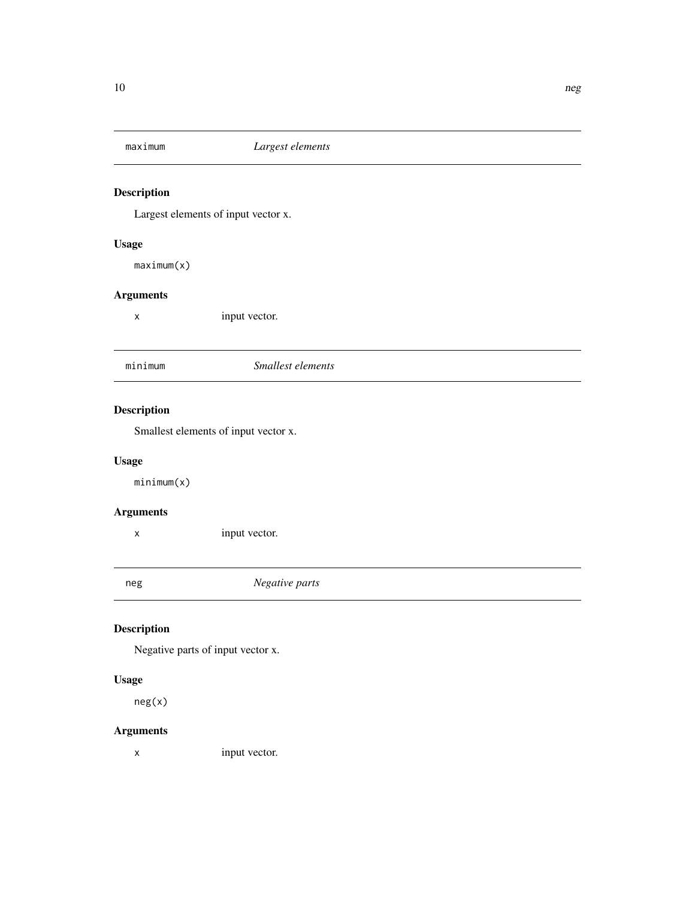<span id="page-9-0"></span>

Largest elements of input vector x.

#### Usage

maximum(x)

#### Arguments

x input vector.

minimum *Smallest elements*

#### Description

Smallest elements of input vector x.

#### Usage

minimum(x)

#### Arguments

x input vector.

neg *Negative parts*

#### Description

Negative parts of input vector x.

#### Usage

neg(x)

#### Arguments

x input vector.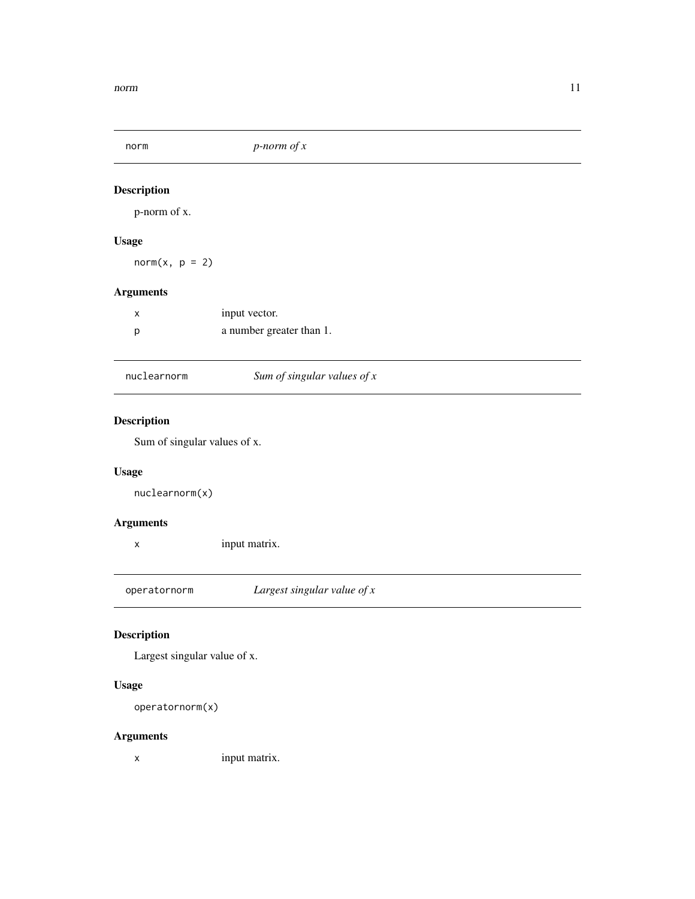<span id="page-10-0"></span>

p-norm of x.

#### Usage

 $norm(x, p = 2)$ 

#### Arguments

| x | input vector.            |
|---|--------------------------|
| D | a number greater than 1. |

#### nuclearnorm *Sum of singular values of x*

#### Description

Sum of singular values of x.

#### Usage

nuclearnorm(x)

#### Arguments

x input matrix.

operatornorm *Largest singular value of x*

#### Description

Largest singular value of x.

#### Usage

```
operatornorm(x)
```
#### Arguments

x input matrix.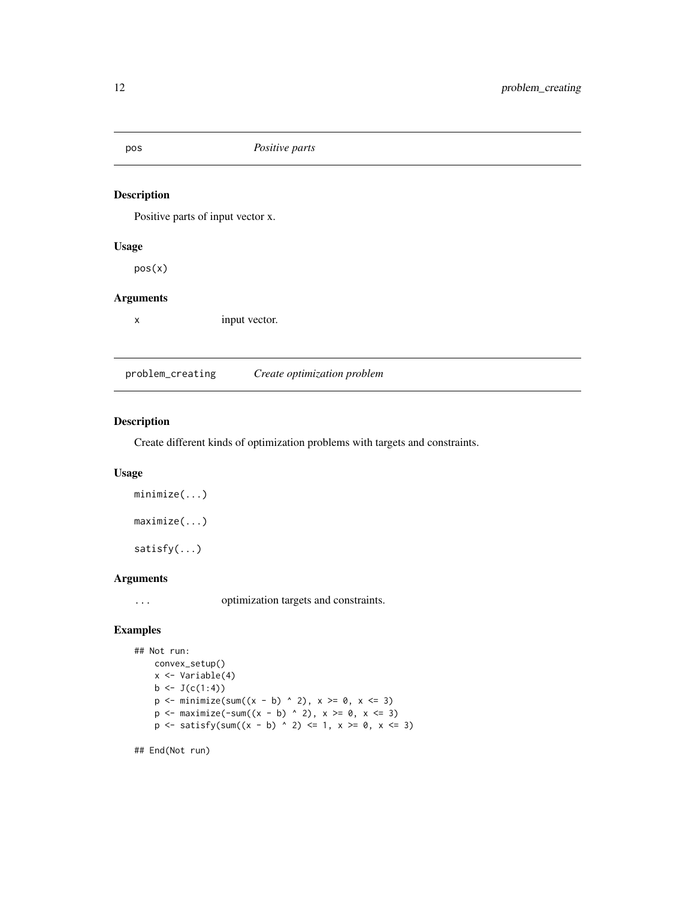<span id="page-11-0"></span>

Positive parts of input vector x.

#### Usage

pos(x)

#### Arguments

x input vector.

problem\_creating *Create optimization problem*

#### Description

Create different kinds of optimization problems with targets and constraints.

#### Usage

```
minimize(...)
maximize(...)
satisfy(...)
```
#### Arguments

... optimization targets and constraints.

#### Examples

```
## Not run:
    convex_setup()
    x <- Variable(4)
    b \leftarrow J(c(1:4))p \le - \text{minimize}(\text{sum}((x - b) \land 2), x \ge 0, x \le 3)p \le - maximize(-sum((x - b) ^ 2), x >= 0, x \le 3)
    p \leftarrow satisfy(sum((x - b) ^ 2) \leftarrow 1, x \ge 0, x \leftarrow 3)
```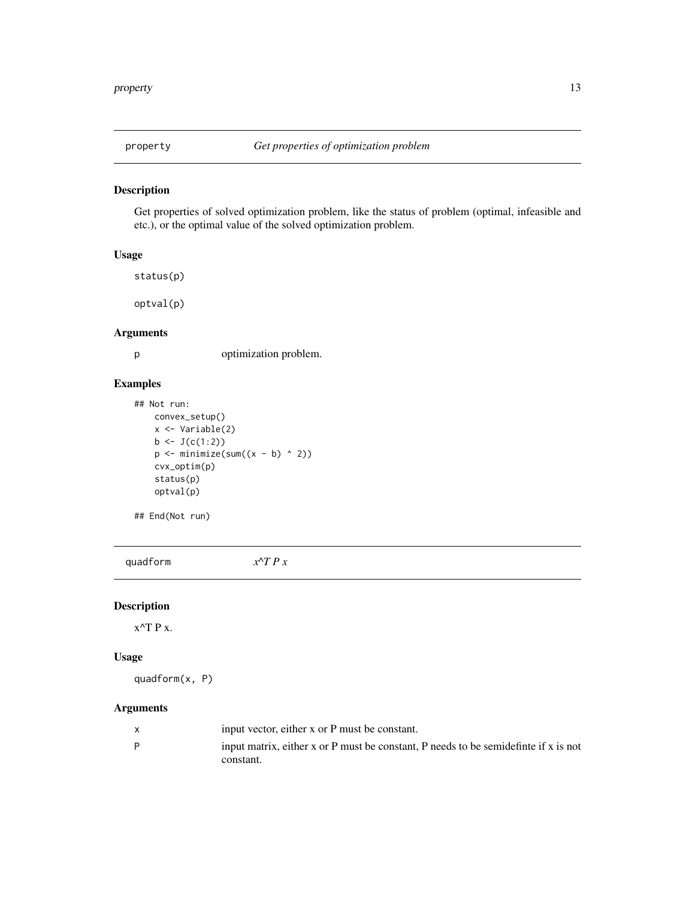<span id="page-12-0"></span>

Get properties of solved optimization problem, like the status of problem (optimal, infeasible and etc.), or the optimal value of the solved optimization problem.

#### Usage

```
status(p)
```
optval(p)

#### Arguments

p optimization problem.

#### Examples

```
## Not run:
    convex_setup()
    x <- Variable(2)
    b \leftarrow J(c(1:2))p \leftarrow \text{minimize}(\text{sum}((x - b) \land 2))cvx_optim(p)
    status(p)
    optval(p)
```
## End(Not run)

quadform *x^T P x*

#### Description

 $x^{\wedge}$ T P x.

#### Usage

quadform(x, P)

| input vector, either x or P must be constant.                                        |
|--------------------------------------------------------------------------------------|
| input matrix, either x or P must be constant. P needs to be semidefinite if x is not |
| constant.                                                                            |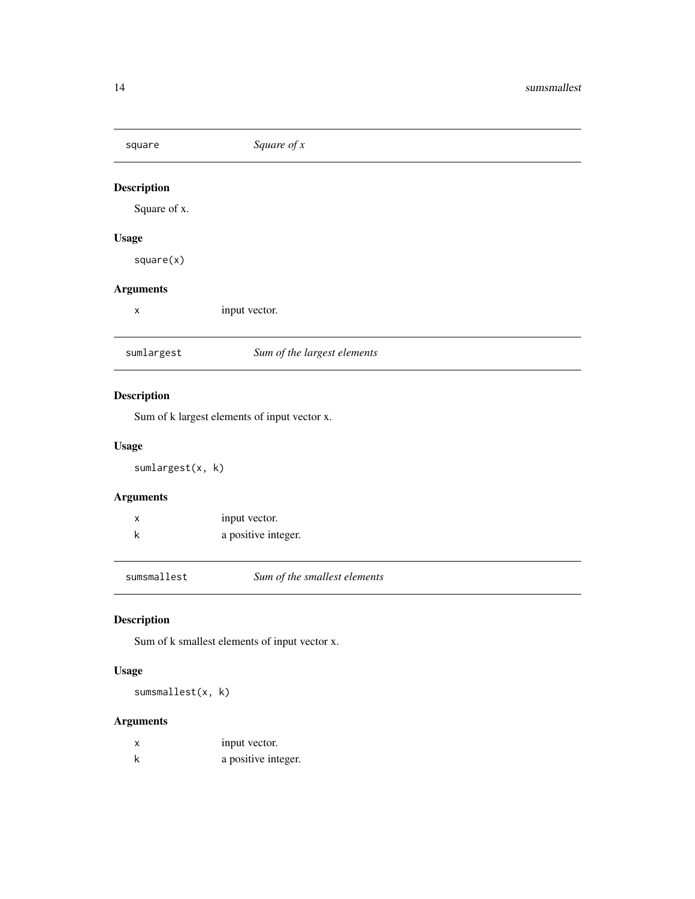<span id="page-13-0"></span>

| square             | Square of $x$               |  |
|--------------------|-----------------------------|--|
| <b>Description</b> |                             |  |
| Square of x.       |                             |  |
| <b>Usage</b>       |                             |  |
| square(x)          |                             |  |
| <b>Arguments</b>   |                             |  |
| X                  | input vector.               |  |
| sumlargest         | Sum of the largest elements |  |
| <b>Description</b> |                             |  |

Sum of k largest elements of input vector x.

#### Usage

sumlargest(x, k)

#### Arguments

| input vector.       |
|---------------------|
| a positive integer. |

sumsmallest *Sum of the smallest elements*

#### Description

Sum of k smallest elements of input vector x.

#### Usage

sumsmallest(x, k)

|   | input vector.       |
|---|---------------------|
| k | a positive integer. |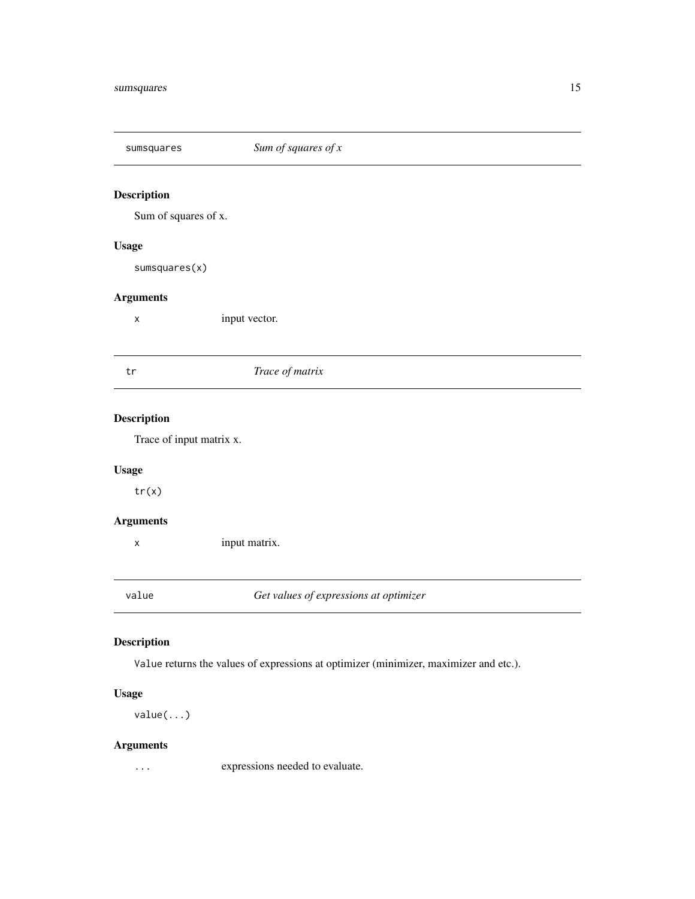<span id="page-14-0"></span>

Sum of squares of x.

#### Usage

sumsquares(x)

#### Arguments

x input vector.

#### tr *Trace of matrix*

#### Description

Trace of input matrix x.

#### Usage

tr(x)

#### Arguments

x input matrix.

value *Get values of expressions at optimizer*

#### Description

Value returns the values of expressions at optimizer (minimizer, maximizer and etc.).

#### Usage

value(...)

#### Arguments

... expressions needed to evaluate.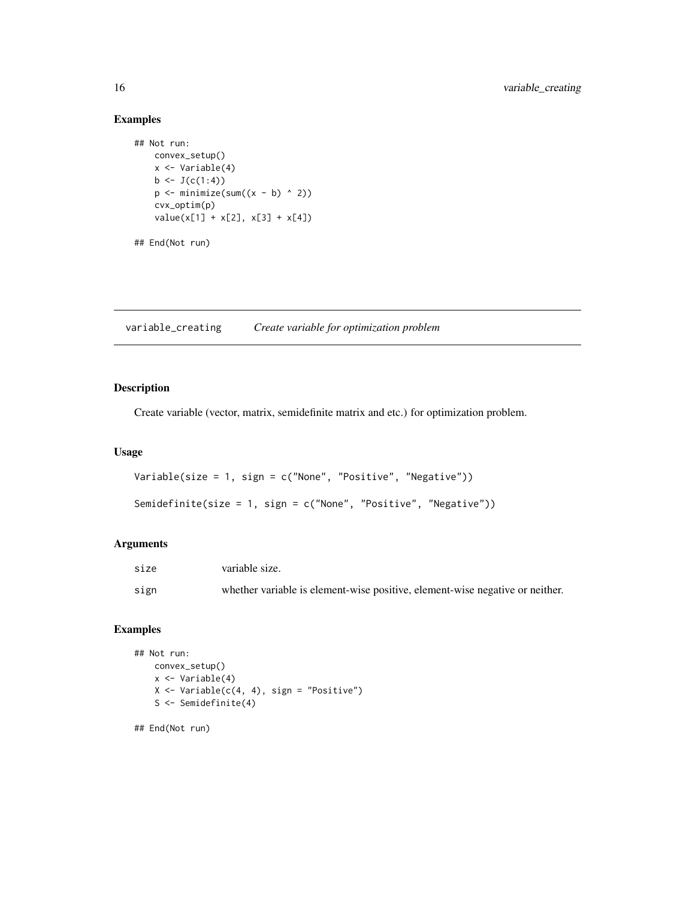#### Examples

```
## Not run:
    convex_setup()
    x <- Variable(4)
    b \leftarrow J(c(1:4))p \leftarrow \text{minimize}(\text{sum}((x - b) \land 2))cvx_optim(p)
    value(x[1] + x[2], x[3] + x[4])## End(Not run)
```
variable\_creating *Create variable for optimization problem*

#### Description

Create variable (vector, matrix, semidefinite matrix and etc.) for optimization problem.

#### Usage

```
Variable(size = 1, sign = c("None", "Positive", "Negative"))
```

```
Semidefinite(size = 1, sign = c("None", "Positive", "Negative"))
```
#### Arguments

| size | variable size.                                                               |
|------|------------------------------------------------------------------------------|
| sign | whether variable is element-wise positive, element-wise negative or neither. |

#### Examples

```
## Not run:
    convex_setup()
    x <- Variable(4)
    X \leftarrow \text{Variable}(c(4, 4), \text{sign} = \text{"Positive"}S <- Semidefinite(4)
```
<span id="page-15-0"></span>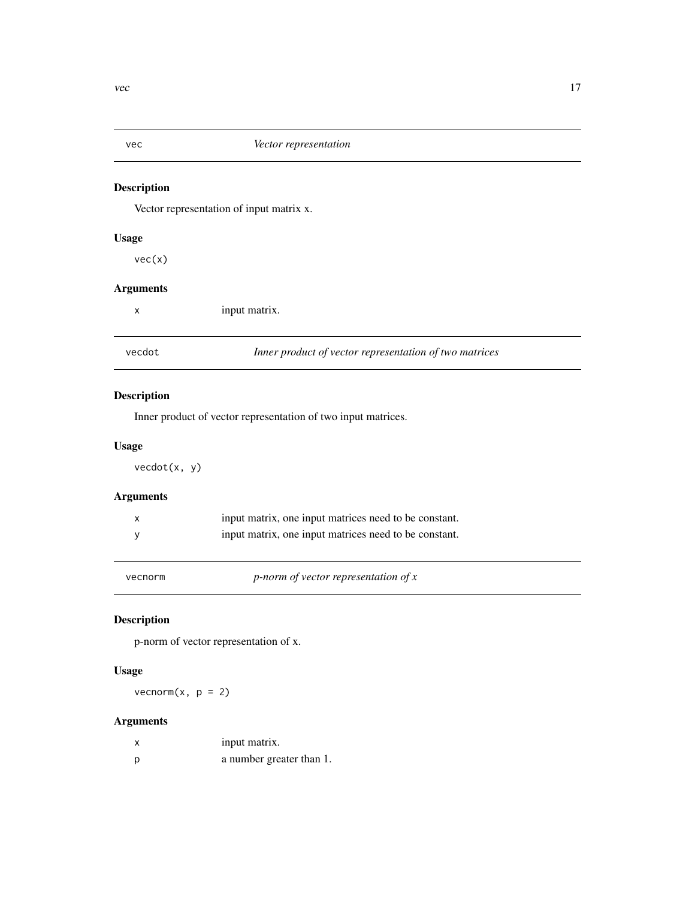<span id="page-16-0"></span>

Vector representation of input matrix x.

#### Usage

vec(x)

#### Arguments

x input matrix.

vecdot *Inner product of vector representation of two matrices*

#### Description

Inner product of vector representation of two input matrices.

#### Usage

vecdot(x, y)

#### Arguments

| input matrix, one input matrices need to be constant. |
|-------------------------------------------------------|
| input matrix, one input matrices need to be constant. |

vecnorm *p-norm of vector representation of x*

#### Description

p-norm of vector representation of x.

#### Usage

vecnorm $(x, p = 2)$ 

|     | input matrix.            |
|-----|--------------------------|
| - p | a number greater than 1. |